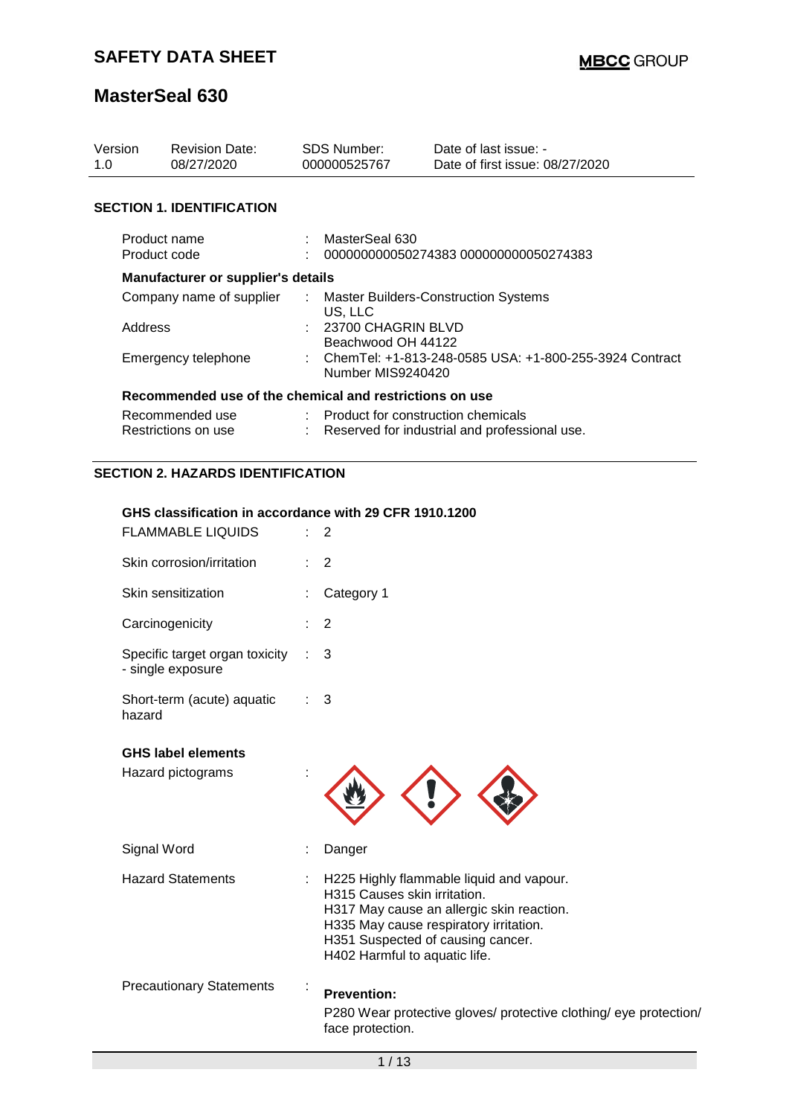| Version<br>1.0                                             | <b>Revision Date:</b><br>08/27/2020       |                                                                                       | <b>SDS Number:</b><br>000000525767                                                                                                                               | Date of last issue: -<br>Date of first issue: 08/27/2020 |  |
|------------------------------------------------------------|-------------------------------------------|---------------------------------------------------------------------------------------|------------------------------------------------------------------------------------------------------------------------------------------------------------------|----------------------------------------------------------|--|
|                                                            | <b>SECTION 1. IDENTIFICATION</b>          |                                                                                       |                                                                                                                                                                  |                                                          |  |
|                                                            | Product name<br>Product code              |                                                                                       | MasterSeal 630<br>000000000050274383 000000000050274383                                                                                                          |                                                          |  |
|                                                            | <b>Manufacturer or supplier's details</b> |                                                                                       |                                                                                                                                                                  |                                                          |  |
| Company name of supplier<br>Address<br>Emergency telephone |                                           | $\mathcal{I}^{\mathcal{I}}$ .                                                         | <b>Master Builders-Construction Systems</b><br>US, LLC<br>: 23700 CHAGRIN BLVD<br>Beachwood OH 44122<br>: ChemTel: +1-813-248-0585 USA: +1-800-255-3924 Contract |                                                          |  |
|                                                            |                                           | Number MIS9240420<br>Recommended use of the chemical and restrictions on use          |                                                                                                                                                                  |                                                          |  |
|                                                            | Recommended use<br>Restrictions on use    | : Product for construction chemicals<br>Reserved for industrial and professional use. |                                                                                                                                                                  |                                                          |  |
|                                                            | <b>SECTION 2. HAZARDS IDENTIFICATION</b>  |                                                                                       |                                                                                                                                                                  |                                                          |  |

#### **GHS classification in accordance with 29 CFR 1910.1200**

| <b>FLAMMABLE LIQUIDS</b>                            | 2                                                                                                                                                                                                                                     |
|-----------------------------------------------------|---------------------------------------------------------------------------------------------------------------------------------------------------------------------------------------------------------------------------------------|
| Skin corrosion/irritation                           | $\overline{2}$                                                                                                                                                                                                                        |
| Skin sensitization                                  | Category 1                                                                                                                                                                                                                            |
| Carcinogenicity                                     | 2                                                                                                                                                                                                                                     |
| Specific target organ toxicity<br>- single exposure | 3                                                                                                                                                                                                                                     |
| Short-term (acute) aquatic<br>hazard                | 3                                                                                                                                                                                                                                     |
| <b>GHS label elements</b><br>Hazard pictograms      |                                                                                                                                                                                                                                       |
| Signal Word                                         | Danger                                                                                                                                                                                                                                |
| <b>Hazard Statements</b>                            | H225 Highly flammable liquid and vapour.<br>H315 Causes skin irritation.<br>H317 May cause an allergic skin reaction.<br>H335 May cause respiratory irritation.<br>H351 Suspected of causing cancer.<br>H402 Harmful to aquatic life. |
| <b>Precautionary Statements</b>                     | <b>Prevention:</b><br>P280 Wear protective gloves/ protective clothing/ eye protection/<br>face protection.                                                                                                                           |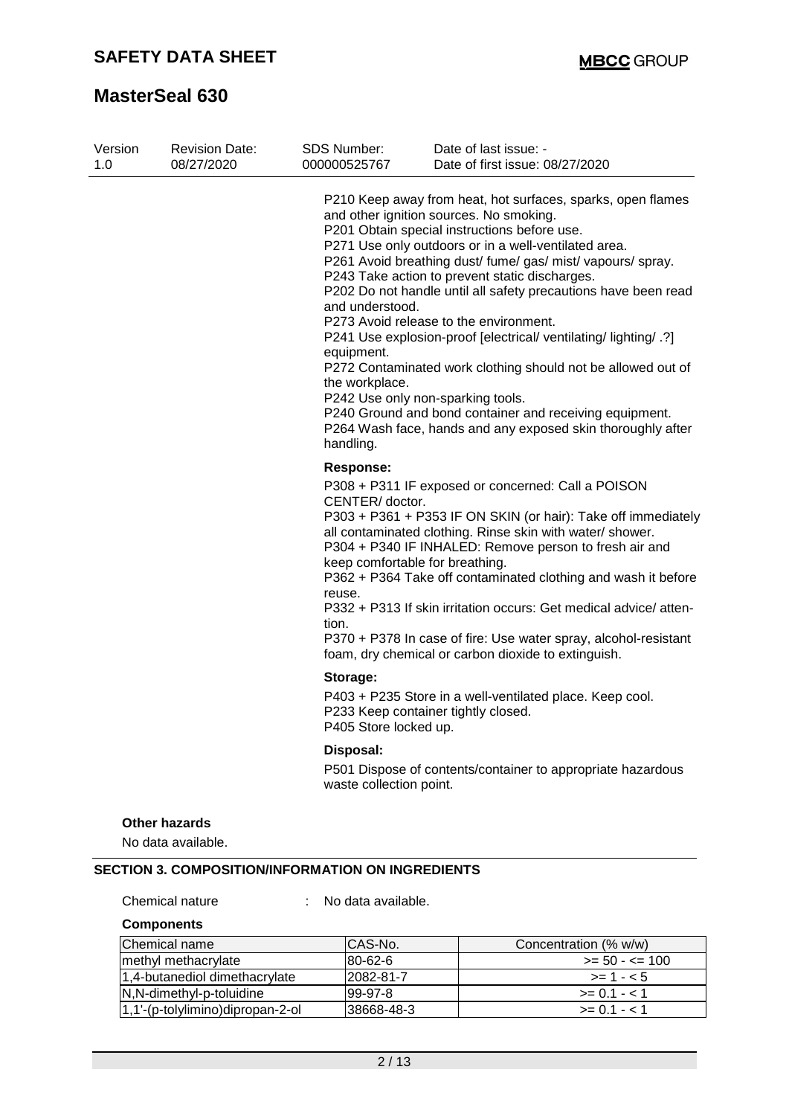| Version<br>1.0 | <b>Revision Date:</b><br>08/27/2020 | <b>SDS Number:</b><br>000000525767                           | Date of last issue: -<br>Date of first issue: 08/27/2020                                                                                                                                                                                                                                                                                                                                                                                                                                                                                                                                                                                                                                                                                       |
|----------------|-------------------------------------|--------------------------------------------------------------|------------------------------------------------------------------------------------------------------------------------------------------------------------------------------------------------------------------------------------------------------------------------------------------------------------------------------------------------------------------------------------------------------------------------------------------------------------------------------------------------------------------------------------------------------------------------------------------------------------------------------------------------------------------------------------------------------------------------------------------------|
|                |                                     | and understood.<br>equipment.<br>the workplace.<br>handling. | P210 Keep away from heat, hot surfaces, sparks, open flames<br>and other ignition sources. No smoking.<br>P201 Obtain special instructions before use.<br>P271 Use only outdoors or in a well-ventilated area.<br>P261 Avoid breathing dust/ fume/ gas/ mist/ vapours/ spray.<br>P243 Take action to prevent static discharges.<br>P202 Do not handle until all safety precautions have been read<br>P273 Avoid release to the environment.<br>P241 Use explosion-proof [electrical/ ventilating/ lighting/ .?]<br>P272 Contaminated work clothing should not be allowed out of<br>P242 Use only non-sparking tools.<br>P240 Ground and bond container and receiving equipment.<br>P264 Wash face, hands and any exposed skin thoroughly after |
|                |                                     | <b>Response:</b>                                             |                                                                                                                                                                                                                                                                                                                                                                                                                                                                                                                                                                                                                                                                                                                                                |
|                |                                     | CENTER/doctor.<br>reuse.<br>tion.                            | P308 + P311 IF exposed or concerned: Call a POISON<br>P303 + P361 + P353 IF ON SKIN (or hair): Take off immediately<br>all contaminated clothing. Rinse skin with water/ shower.<br>P304 + P340 IF INHALED: Remove person to fresh air and<br>keep comfortable for breathing.<br>P362 + P364 Take off contaminated clothing and wash it before<br>P332 + P313 If skin irritation occurs: Get medical advice/atten-<br>P370 + P378 In case of fire: Use water spray, alcohol-resistant<br>foam, dry chemical or carbon dioxide to extinguish.                                                                                                                                                                                                   |
|                |                                     | Storage:<br>P405 Store locked up.                            | P403 + P235 Store in a well-ventilated place. Keep cool.<br>P233 Keep container tightly closed.                                                                                                                                                                                                                                                                                                                                                                                                                                                                                                                                                                                                                                                |
|                |                                     | Disposal:                                                    |                                                                                                                                                                                                                                                                                                                                                                                                                                                                                                                                                                                                                                                                                                                                                |
|                |                                     | waste collection point.                                      | P501 Dispose of contents/container to appropriate hazardous                                                                                                                                                                                                                                                                                                                                                                                                                                                                                                                                                                                                                                                                                    |
|                | <b>Other hazards</b>                |                                                              |                                                                                                                                                                                                                                                                                                                                                                                                                                                                                                                                                                                                                                                                                                                                                |
|                | No data available.                  |                                                              |                                                                                                                                                                                                                                                                                                                                                                                                                                                                                                                                                                                                                                                                                                                                                |

Chemical nature : No data available.

**Components**

| Chemical name                    | ICAS-No.    | Concentration (% w/w) |
|----------------------------------|-------------|-----------------------|
| methyl methacrylate              | 80-62-6     | $>= 50 - \le 100$     |
| 1,4-butanediol dimethacrylate    | 2082-81-7   | $>= 1 - 5$            |
| N,N-dimethyl-p-toluidine         | $99-97-8$   | $>= 0.1 - 1.1$        |
| 1,1'-(p-tolylimino)dipropan-2-ol | l38668-48-3 | $>= 0.1 - 1.1$        |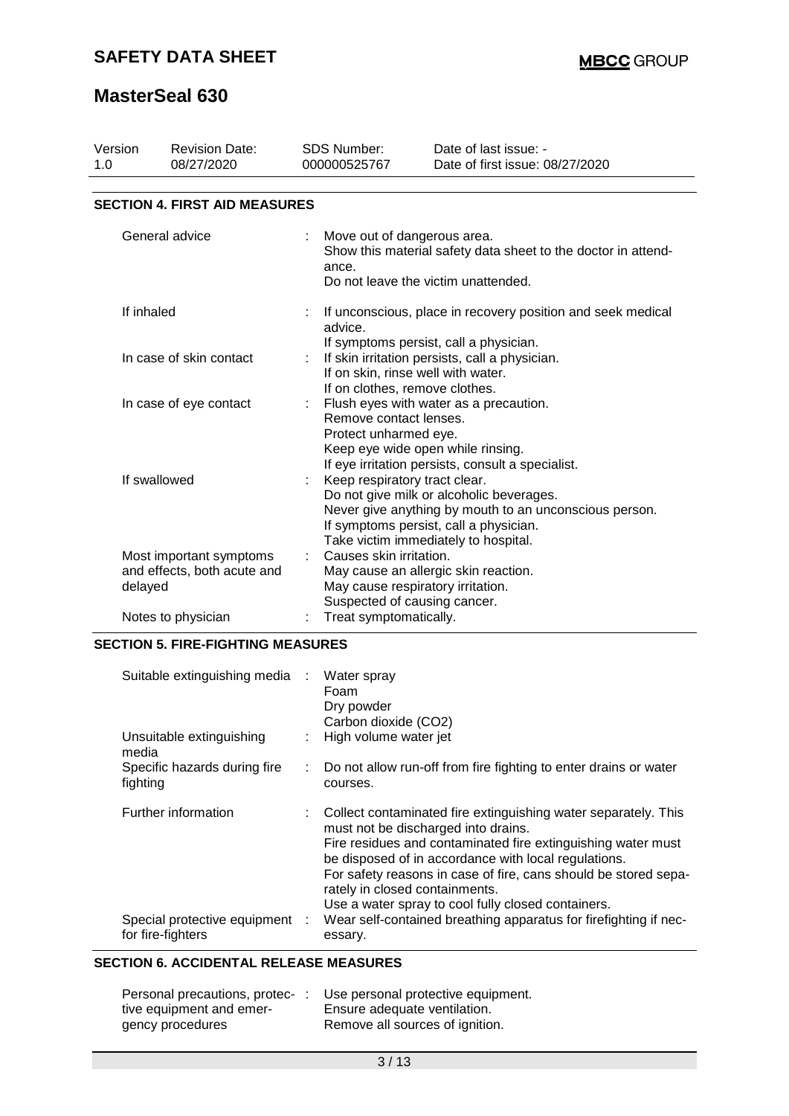## **SAFETY DATA SHEET**

# **MasterSeal 630**

| Version<br>1.0                                                                                                                                                              | <b>Revision Date:</b><br>08/27/2020                               | <b>SDS Number:</b><br>000000525767                      | Date of last issue: -<br>Date of first issue: 08/27/2020                                                                            |  |  |  |  |
|-----------------------------------------------------------------------------------------------------------------------------------------------------------------------------|-------------------------------------------------------------------|---------------------------------------------------------|-------------------------------------------------------------------------------------------------------------------------------------|--|--|--|--|
|                                                                                                                                                                             | <b>SECTION 4. FIRST AID MEASURES</b>                              |                                                         |                                                                                                                                     |  |  |  |  |
| General advice                                                                                                                                                              |                                                                   | ance.                                                   | Move out of dangerous area.<br>Show this material safety data sheet to the doctor in attend-<br>Do not leave the victim unattended. |  |  |  |  |
|                                                                                                                                                                             | If inhaled                                                        | advice.                                                 | If unconscious, place in recovery position and seek medical<br>If symptoms persist, call a physician.                               |  |  |  |  |
| In case of skin contact                                                                                                                                                     |                                                                   | If on clothes, remove clothes.                          | If skin irritation persists, call a physician.<br>If on skin, rinse well with water.                                                |  |  |  |  |
| In case of eye contact                                                                                                                                                      |                                                                   | Remove contact lenses.<br>Protect unharmed eye.         | Flush eyes with water as a precaution.<br>Keep eye wide open while rinsing.<br>If eye irritation persists, consult a specialist.    |  |  |  |  |
| If swallowed<br>Keep respiratory tract clear.<br>Do not give milk or alcoholic beverages.<br>If symptoms persist, call a physician.<br>Take victim immediately to hospital. |                                                                   |                                                         | Never give anything by mouth to an unconscious person.                                                                              |  |  |  |  |
|                                                                                                                                                                             | Most important symptoms<br>and effects, both acute and<br>delayed | Causes skin irritation.<br>Suspected of causing cancer. | May cause an allergic skin reaction.<br>May cause respiratory irritation.                                                           |  |  |  |  |
|                                                                                                                                                                             | Notes to physician                                                | Treat symptomatically.                                  |                                                                                                                                     |  |  |  |  |

### **SECTION 5. FIRE-FIGHTING MEASURES**

| Suitable extinguishing media : Water spray          |    | Foam<br>Dry powder<br>Carbon dioxide (CO2)                                                                                                                                                                                                                                                                                                                                               |
|-----------------------------------------------------|----|------------------------------------------------------------------------------------------------------------------------------------------------------------------------------------------------------------------------------------------------------------------------------------------------------------------------------------------------------------------------------------------|
| Unsuitable extinguishing<br>media                   |    | : High volume water jet                                                                                                                                                                                                                                                                                                                                                                  |
| Specific hazards during fire<br>fighting            | t. | Do not allow run-off from fire fighting to enter drains or water<br>courses.                                                                                                                                                                                                                                                                                                             |
| Further information                                 |    | Collect contaminated fire extinguishing water separately. This<br>must not be discharged into drains.<br>Fire residues and contaminated fire extinguishing water must<br>be disposed of in accordance with local regulations.<br>For safety reasons in case of fire, cans should be stored sepa-<br>rately in closed containments.<br>Use a water spray to cool fully closed containers. |
| Special protective equipment :<br>for fire-fighters |    | Wear self-contained breathing apparatus for firefighting if nec-<br>essary.                                                                                                                                                                                                                                                                                                              |

## **SECTION 6. ACCIDENTAL RELEASE MEASURES**

| Personal precautions, protec-: | Use personal protective equipment. |
|--------------------------------|------------------------------------|
| tive equipment and emer-       | Ensure adequate ventilation.       |
| gency procedures               | Remove all sources of ignition.    |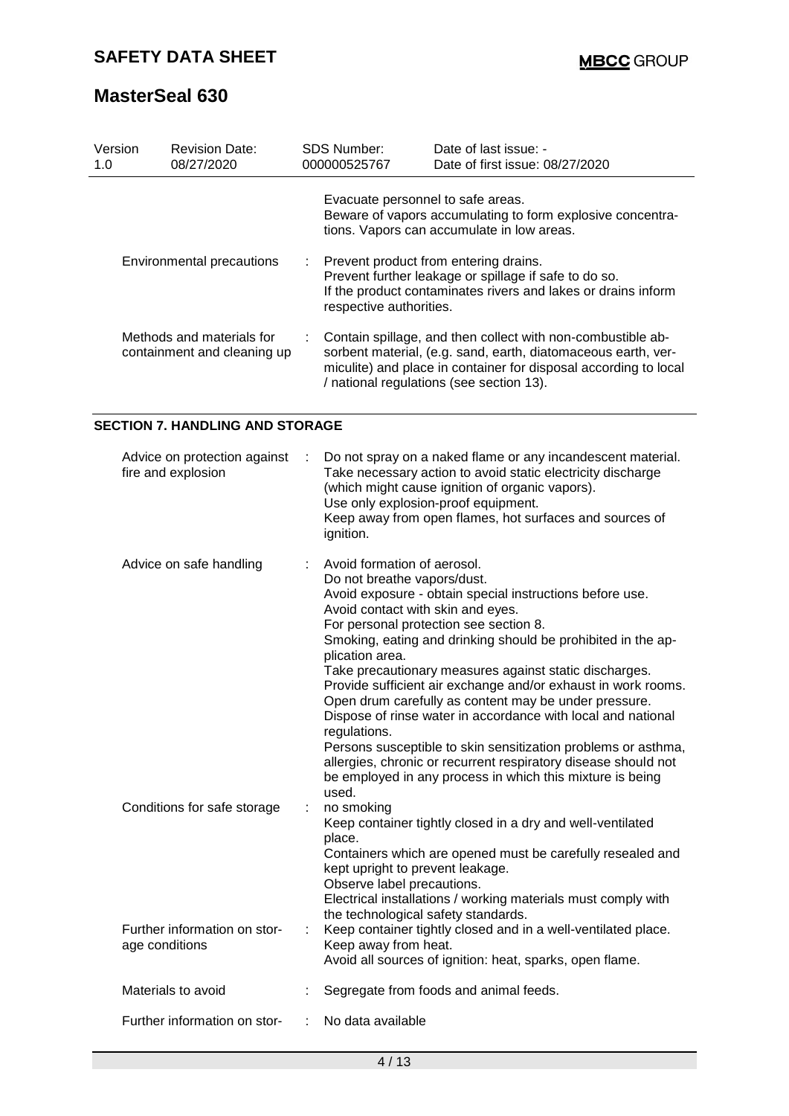| Version<br>1.0                                           | <b>Revision Date:</b><br>08/27/2020 | <b>SDS Number:</b><br>000000525767 | Date of last issue: -<br>Date of first issue: 08/27/2020                                                                                                                                                                                     |
|----------------------------------------------------------|-------------------------------------|------------------------------------|----------------------------------------------------------------------------------------------------------------------------------------------------------------------------------------------------------------------------------------------|
|                                                          |                                     | Evacuate personnel to safe areas.  | Beware of vapors accumulating to form explosive concentra-<br>tions. Vapors can accumulate in low areas.                                                                                                                                     |
| Environmental precautions                                |                                     | respective authorities.            | : Prevent product from entering drains.<br>Prevent further leakage or spillage if safe to do so.<br>If the product contaminates rivers and lakes or drains inform                                                                            |
| Methods and materials for<br>containment and cleaning up |                                     |                                    | Contain spillage, and then collect with non-combustible ab-<br>sorbent material, (e.g. sand, earth, diatomaceous earth, ver-<br>miculite) and place in container for disposal according to local<br>/ national regulations (see section 13). |

## **SECTION 7. HANDLING AND STORAGE**

| Advice on protection against<br>fire and explosion | Do not spray on a naked flame or any incandescent material.<br>Take necessary action to avoid static electricity discharge<br>(which might cause ignition of organic vapors).<br>Use only explosion-proof equipment.<br>Keep away from open flames, hot surfaces and sources of<br>ignition.                                                                                                                                                                                                                                                                                                                                                                                                                                                                          |
|----------------------------------------------------|-----------------------------------------------------------------------------------------------------------------------------------------------------------------------------------------------------------------------------------------------------------------------------------------------------------------------------------------------------------------------------------------------------------------------------------------------------------------------------------------------------------------------------------------------------------------------------------------------------------------------------------------------------------------------------------------------------------------------------------------------------------------------|
| Advice on safe handling                            | Avoid formation of aerosol.<br>Do not breathe vapors/dust.<br>Avoid exposure - obtain special instructions before use.<br>Avoid contact with skin and eyes.<br>For personal protection see section 8.<br>Smoking, eating and drinking should be prohibited in the ap-<br>plication area.<br>Take precautionary measures against static discharges.<br>Provide sufficient air exchange and/or exhaust in work rooms.<br>Open drum carefully as content may be under pressure.<br>Dispose of rinse water in accordance with local and national<br>regulations.<br>Persons susceptible to skin sensitization problems or asthma,<br>allergies, chronic or recurrent respiratory disease should not<br>be employed in any process in which this mixture is being<br>used. |
| Conditions for safe storage                        | no smoking<br>Keep container tightly closed in a dry and well-ventilated<br>place.<br>Containers which are opened must be carefully resealed and<br>kept upright to prevent leakage.<br>Observe label precautions.<br>Electrical installations / working materials must comply with<br>the technological safety standards.                                                                                                                                                                                                                                                                                                                                                                                                                                            |
| Further information on stor-<br>age conditions     | Keep container tightly closed and in a well-ventilated place.<br>Keep away from heat.<br>Avoid all sources of ignition: heat, sparks, open flame.                                                                                                                                                                                                                                                                                                                                                                                                                                                                                                                                                                                                                     |
| Materials to avoid                                 | Segregate from foods and animal feeds.                                                                                                                                                                                                                                                                                                                                                                                                                                                                                                                                                                                                                                                                                                                                |
| Further information on stor-                       | No data available                                                                                                                                                                                                                                                                                                                                                                                                                                                                                                                                                                                                                                                                                                                                                     |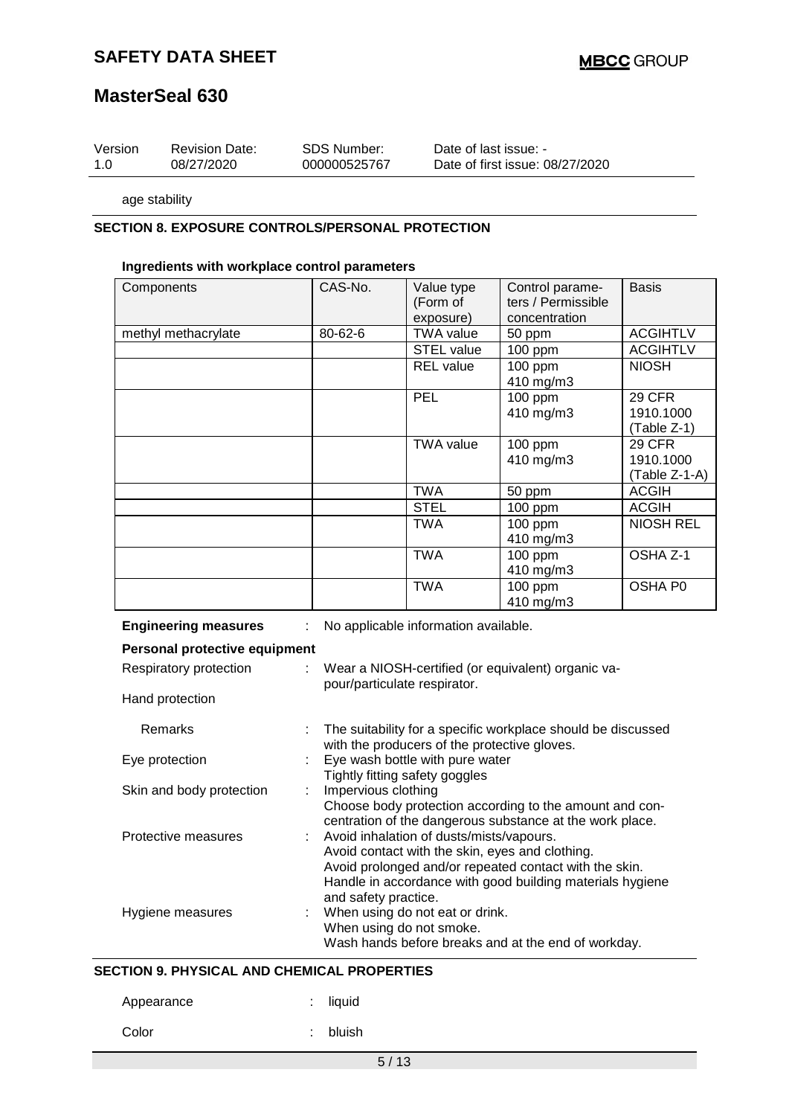## **SAFETY DATA SHEET**

## **MasterSeal 630**

| Version | <b>Revision Date:</b> | <b>SDS Number:</b> | Date of last issue: -           |
|---------|-----------------------|--------------------|---------------------------------|
| -1.0    | 08/27/2020            | 000000525767       | Date of first issue: 08/27/2020 |

age stability

## **SECTION 8. EXPOSURE CONTROLS/PERSONAL PROTECTION**

#### **Ingredients with workplace control parameters**

| Components          | CAS-No. | Value type<br>(Form of<br>exposure) | Control parame-<br>ters / Permissible<br>concentration | <b>Basis</b>                                |
|---------------------|---------|-------------------------------------|--------------------------------------------------------|---------------------------------------------|
| methyl methacrylate | 80-62-6 | <b>TWA value</b>                    | 50 ppm                                                 | <b>ACGIHTLV</b>                             |
|                     |         | STEL value                          | 100 ppm                                                | <b>ACGIHTLV</b>                             |
|                     |         | <b>REL</b> value                    | $100$ ppm<br>410 mg/m3                                 | <b>NIOSH</b>                                |
|                     |         | <b>PEL</b>                          | $100$ ppm<br>410 mg/m3                                 | <b>29 CFR</b><br>1910.1000<br>(Table Z-1)   |
|                     |         | <b>TWA value</b>                    | $100$ ppm<br>410 mg/m3                                 | <b>29 CFR</b><br>1910.1000<br>(Table Z-1-A) |
|                     |         | TWA                                 | 50 ppm                                                 | <b>ACGIH</b>                                |
|                     |         | <b>STEL</b>                         | $100$ ppm                                              | <b>ACGIH</b>                                |
|                     |         | <b>TWA</b>                          | 100 ppm<br>410 mg/m3                                   | <b>NIOSH REL</b>                            |
|                     |         | <b>TWA</b>                          | 100 ppm<br>410 mg/m3                                   | OSHA Z-1                                    |
|                     |         | <b>TWA</b>                          | 100 ppm<br>410 mg/m3                                   | OSHA P0                                     |

|  | <b>Engineering measures</b> |
|--|-----------------------------|
|  |                             |

gineering measures : No applicable information available.

| Personal protective equipment |                                                                                                                                                                                                                      |
|-------------------------------|----------------------------------------------------------------------------------------------------------------------------------------------------------------------------------------------------------------------|
| Respiratory protection<br>÷.  | Wear a NIOSH-certified (or equivalent) organic va-<br>pour/particulate respirator.                                                                                                                                   |
| Hand protection               |                                                                                                                                                                                                                      |
| Remarks                       | The suitability for a specific workplace should be discussed<br>with the producers of the protective gloves.                                                                                                         |
| Eye protection                | : Eye wash bottle with pure water<br>Tightly fitting safety goggles                                                                                                                                                  |
| Skin and body protection      | : Impervious clothing<br>Choose body protection according to the amount and con-<br>centration of the dangerous substance at the work place.                                                                         |
| Protective measures           | : Avoid inhalation of dusts/mists/vapours.<br>Avoid contact with the skin, eyes and clothing.<br>Avoid prolonged and/or repeated contact with the skin.<br>Handle in accordance with good building materials hygiene |
| Hygiene measures              | and safety practice.<br>: When using do not eat or drink.<br>When using do not smoke.<br>Wash hands before breaks and at the end of workday.                                                                         |

#### **SECTION 9. PHYSICAL AND CHEMICAL PROPERTIES**

Appearance : liquid

Color : bluish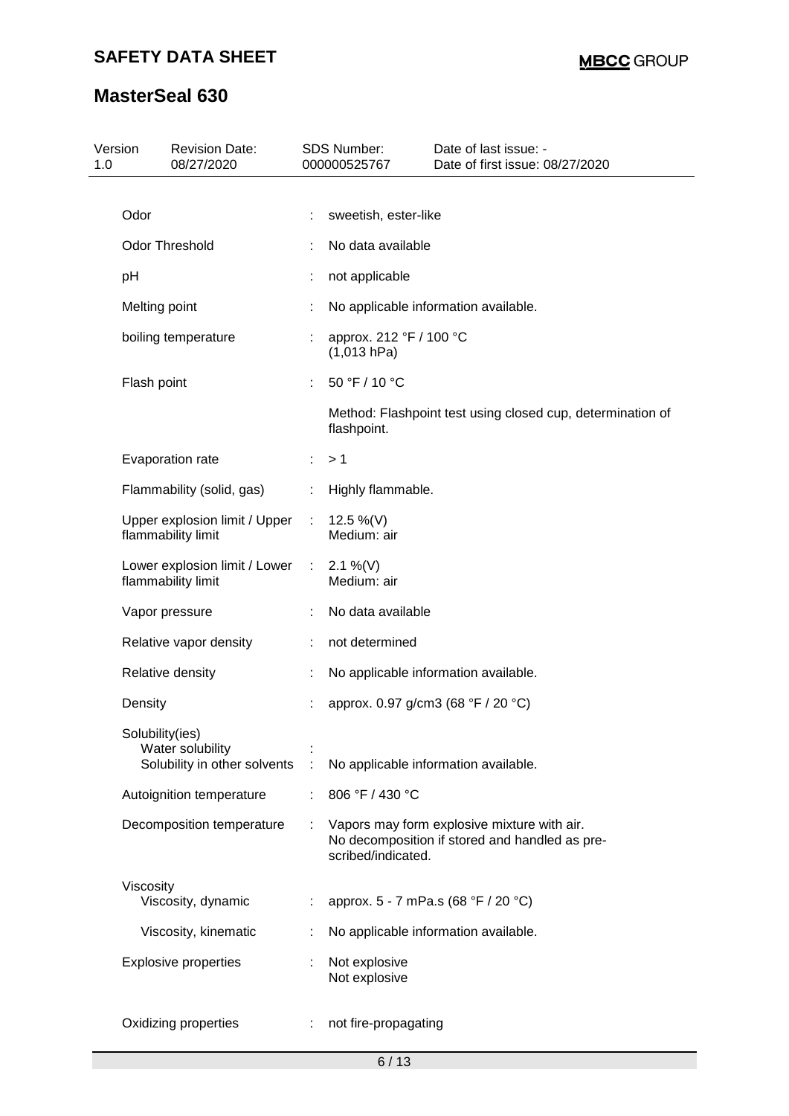| Version<br>1.0 | <b>Revision Date:</b><br>08/27/2020                                 |    | <b>SDS Number:</b><br>000000525767     | Date of last issue: -<br>Date of first issue: 08/27/2020                                      |  |  |
|----------------|---------------------------------------------------------------------|----|----------------------------------------|-----------------------------------------------------------------------------------------------|--|--|
| Odor           |                                                                     |    | sweetish, ester-like                   |                                                                                               |  |  |
|                | <b>Odor Threshold</b>                                               |    | No data available                      |                                                                                               |  |  |
| pH             |                                                                     | t  | not applicable                         |                                                                                               |  |  |
|                |                                                                     |    |                                        |                                                                                               |  |  |
|                | Melting point                                                       | t  | No applicable information available.   |                                                                                               |  |  |
|                | boiling temperature                                                 |    | approx. 212 °F / 100 °C<br>(1,013 hPa) |                                                                                               |  |  |
|                | Flash point                                                         |    | 50 °F / 10 °C                          |                                                                                               |  |  |
|                |                                                                     |    | flashpoint.                            | Method: Flashpoint test using closed cup, determination of                                    |  |  |
|                | Evaporation rate                                                    | ÷. | >1                                     |                                                                                               |  |  |
|                | Flammability (solid, gas)                                           | ÷  | Highly flammable.                      |                                                                                               |  |  |
|                | Upper explosion limit / Upper<br>flammability limit                 | ÷  | 12.5 %(V)<br>Medium: air               |                                                                                               |  |  |
|                | Lower explosion limit / Lower<br>flammability limit                 | ÷. | 2.1 %(V)<br>Medium: air                |                                                                                               |  |  |
|                | Vapor pressure                                                      |    | No data available                      |                                                                                               |  |  |
|                | Relative vapor density                                              | ÷  | not determined                         |                                                                                               |  |  |
|                | Relative density                                                    | t  |                                        | No applicable information available.                                                          |  |  |
| Density        |                                                                     | t  |                                        | approx. 0.97 g/cm3 (68 °F / 20 °C)                                                            |  |  |
|                | Solubility(ies)<br>Water solubility<br>Solubility in other solvents |    |                                        | No applicable information available.                                                          |  |  |
|                | Autoignition temperature                                            |    | 806 °F / 430 °C                        |                                                                                               |  |  |
|                | Decomposition temperature                                           |    | scribed/indicated.                     | Vapors may form explosive mixture with air.<br>No decomposition if stored and handled as pre- |  |  |
| Viscosity      | Viscosity, dynamic                                                  | ÷  |                                        | approx. 5 - 7 mPa.s (68 °F / 20 °C)                                                           |  |  |
|                | Viscosity, kinematic                                                |    |                                        | No applicable information available.                                                          |  |  |
|                | <b>Explosive properties</b>                                         |    | Not explosive<br>Not explosive         |                                                                                               |  |  |
|                | Oxidizing properties                                                |    | not fire-propagating                   |                                                                                               |  |  |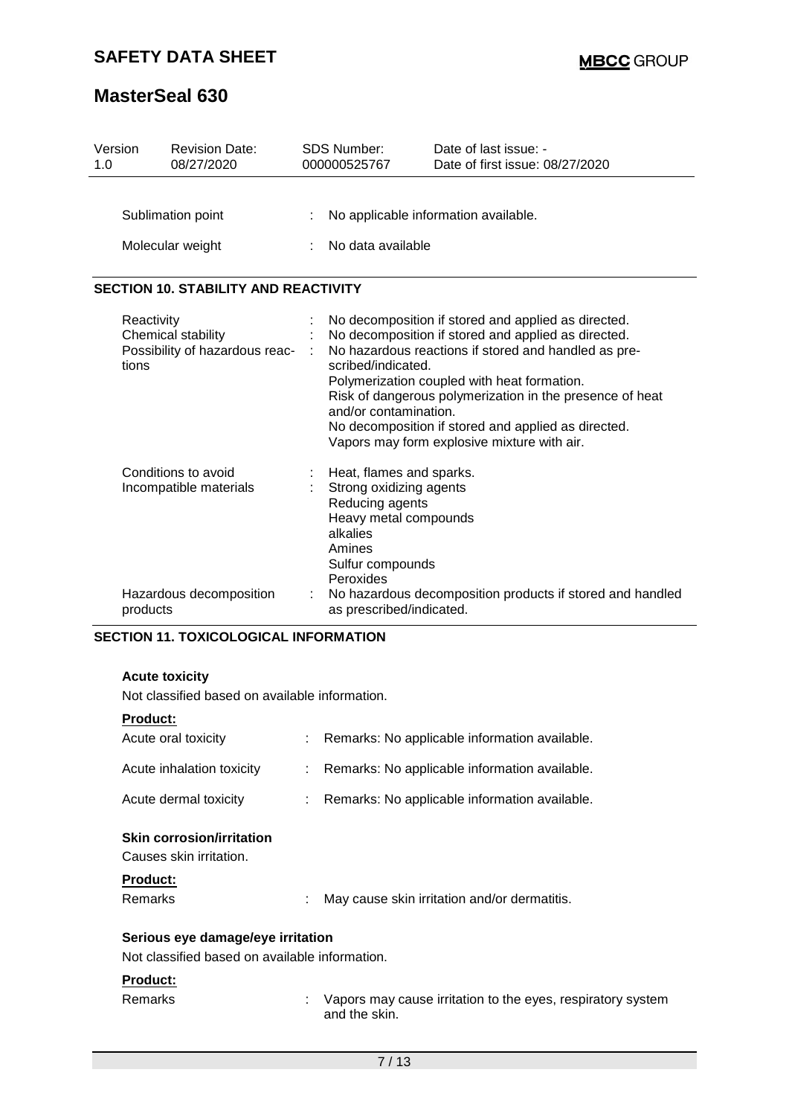| Version<br>1.0 |                                           | <b>Revision Date:</b><br>08/27/2020                                                            | <b>SDS Number:</b><br>000000525767                                                                                                                                                                                                              | Date of last issue: -<br>Date of first issue: 08/27/2020                                                                                                                                                                                                                                                                                                                            |  |
|----------------|-------------------------------------------|------------------------------------------------------------------------------------------------|-------------------------------------------------------------------------------------------------------------------------------------------------------------------------------------------------------------------------------------------------|-------------------------------------------------------------------------------------------------------------------------------------------------------------------------------------------------------------------------------------------------------------------------------------------------------------------------------------------------------------------------------------|--|
|                | Sublimation point<br>Molecular weight     |                                                                                                | No applicable information available.<br>No data available                                                                                                                                                                                       |                                                                                                                                                                                                                                                                                                                                                                                     |  |
|                |                                           | <b>SECTION 10. STABILITY AND REACTIVITY</b>                                                    |                                                                                                                                                                                                                                                 |                                                                                                                                                                                                                                                                                                                                                                                     |  |
|                | Reactivity<br>Chemical stability<br>tions | Possibility of hazardous reac-                                                                 | scribed/indicated.<br>and/or contamination.                                                                                                                                                                                                     | No decomposition if stored and applied as directed.<br>No decomposition if stored and applied as directed.<br>No hazardous reactions if stored and handled as pre-<br>Polymerization coupled with heat formation.<br>Risk of dangerous polymerization in the presence of heat<br>No decomposition if stored and applied as directed.<br>Vapors may form explosive mixture with air. |  |
|                | Conditions to avoid<br>products           | Incompatible materials<br>Hazardous decomposition                                              | Heat, flames and sparks.<br>Strong oxidizing agents<br>Reducing agents<br>Heavy metal compounds<br>alkalies<br>Amines<br>Sulfur compounds<br>Peroxides<br>No hazardous decomposition products if stored and handled<br>as prescribed/indicated. |                                                                                                                                                                                                                                                                                                                                                                                     |  |
|                | <b>Acute toxicity</b>                     | <b>SECTION 11. TOXICOLOGICAL INFORMATION</b><br>Not classified based on available information. |                                                                                                                                                                                                                                                 |                                                                                                                                                                                                                                                                                                                                                                                     |  |

## **Product:**

| Acute oral toxicity                                                                       |    | Remarks: No applicable information available.                                |
|-------------------------------------------------------------------------------------------|----|------------------------------------------------------------------------------|
| Acute inhalation toxicity                                                                 | ÷  | Remarks: No applicable information available.                                |
| Acute dermal toxicity                                                                     |    | Remarks: No applicable information available.                                |
| <b>Skin corrosion/irritation</b><br>Causes skin irritation.<br><b>Product:</b><br>Remarks | t. | May cause skin irritation and/or dermatitis.                                 |
| Serious eye damage/eye irritation<br>Not classified based on available information.       |    |                                                                              |
|                                                                                           |    |                                                                              |
| <b>Product:</b>                                                                           |    |                                                                              |
| Remarks                                                                                   |    | Vapors may cause irritation to the eyes, respiratory system<br>and the skin. |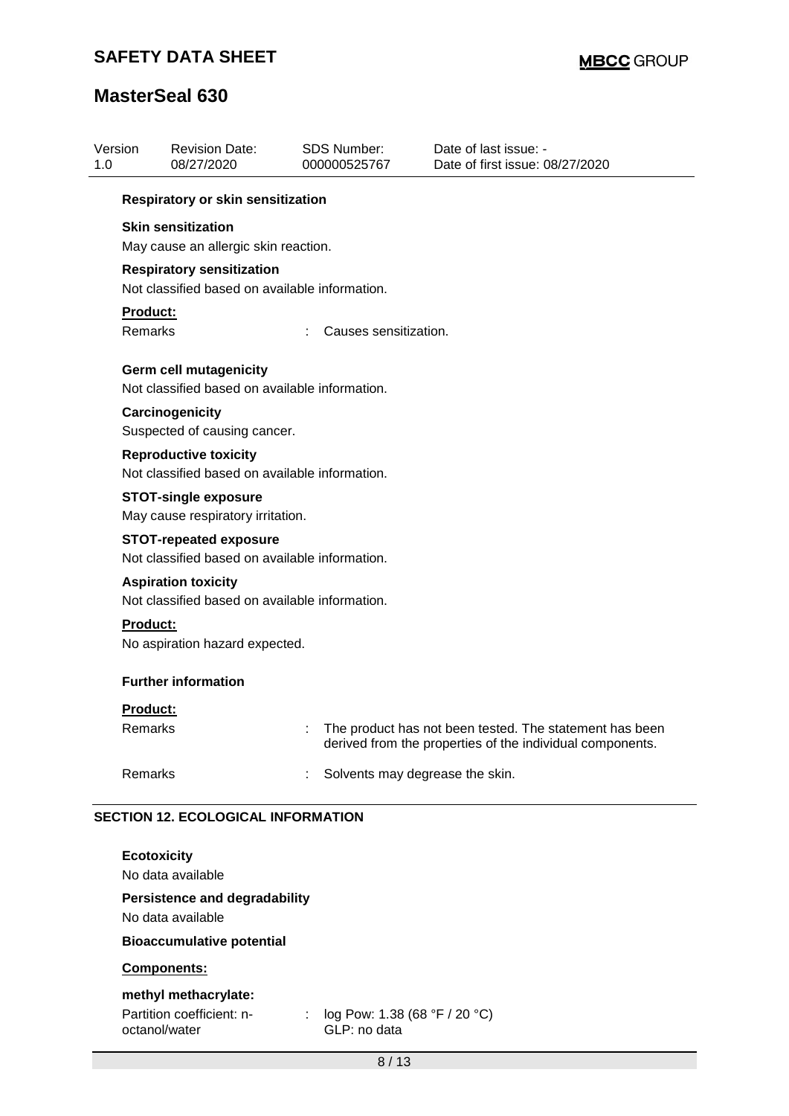octanol/water

| Version<br>1.0 |                    | <b>Revision Date:</b><br>08/27/2020                                             | <b>SDS Number:</b><br>000000525767 | Date of last issue: -<br>Date of first issue: 08/27/2020                                                             |
|----------------|--------------------|---------------------------------------------------------------------------------|------------------------------------|----------------------------------------------------------------------------------------------------------------------|
|                |                    | Respiratory or skin sensitization                                               |                                    |                                                                                                                      |
|                |                    | <b>Skin sensitization</b><br>May cause an allergic skin reaction.               |                                    |                                                                                                                      |
|                |                    | <b>Respiratory sensitization</b>                                                |                                    |                                                                                                                      |
|                |                    | Not classified based on available information.                                  |                                    |                                                                                                                      |
|                | Product:           |                                                                                 |                                    |                                                                                                                      |
|                | Remarks            |                                                                                 | Causes sensitization.              |                                                                                                                      |
|                |                    | <b>Germ cell mutagenicity</b><br>Not classified based on available information. |                                    |                                                                                                                      |
|                |                    | Carcinogenicity<br>Suspected of causing cancer.                                 |                                    |                                                                                                                      |
|                |                    | <b>Reproductive toxicity</b><br>Not classified based on available information.  |                                    |                                                                                                                      |
|                |                    | <b>STOT-single exposure</b><br>May cause respiratory irritation.                |                                    |                                                                                                                      |
|                |                    | <b>STOT-repeated exposure</b><br>Not classified based on available information. |                                    |                                                                                                                      |
|                |                    | <b>Aspiration toxicity</b><br>Not classified based on available information.    |                                    |                                                                                                                      |
|                | Product:           | No aspiration hazard expected.                                                  |                                    |                                                                                                                      |
|                |                    | <b>Further information</b>                                                      |                                    |                                                                                                                      |
|                | <b>Product:</b>    |                                                                                 |                                    |                                                                                                                      |
|                | Remarks            |                                                                                 |                                    | The product has not been tested. The statement has been<br>derived from the properties of the individual components. |
|                | Remarks            |                                                                                 | Solvents may degrease the skin.    |                                                                                                                      |
|                |                    | <b>SECTION 12. ECOLOGICAL INFORMATION</b>                                       |                                    |                                                                                                                      |
|                | <b>Ecotoxicity</b> |                                                                                 |                                    |                                                                                                                      |
|                |                    | No data available                                                               |                                    |                                                                                                                      |
|                |                    | <b>Persistence and degradability</b>                                            |                                    |                                                                                                                      |
|                |                    | No data available                                                               |                                    |                                                                                                                      |
|                |                    | <b>Bioaccumulative potential</b>                                                |                                    |                                                                                                                      |
|                |                    | Components:                                                                     |                                    |                                                                                                                      |
|                |                    | methyl methacrylate:<br>Partition coefficient: n-                               | log Pow: 1.38 (68 °F / 20 °C)      |                                                                                                                      |

GLP: no data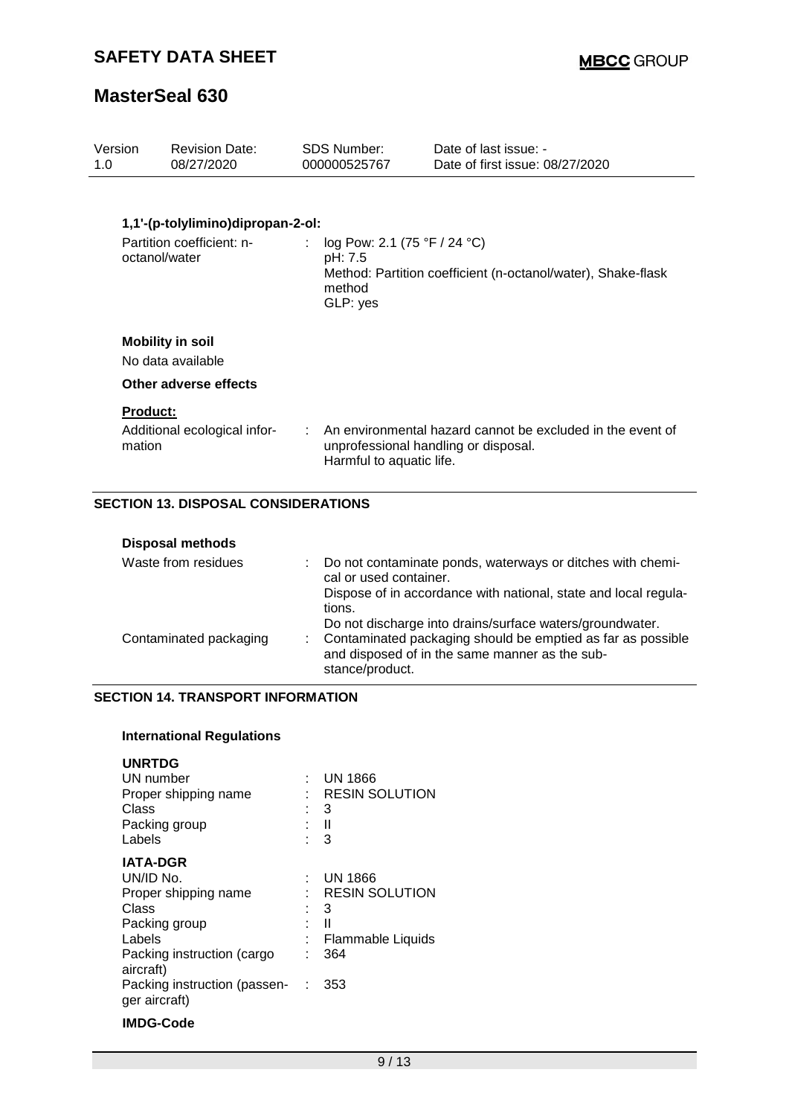## **SAFETY DATA SHEET**

## **MasterSeal 630**

| Version<br>1.0            | <b>Revision Date:</b><br>08/27/2020          | SDS Number<br>000000525767                                    | Date of last issue: -<br>Date of first issue: 08/27/2020                                             |
|---------------------------|----------------------------------------------|---------------------------------------------------------------|------------------------------------------------------------------------------------------------------|
|                           |                                              |                                                               |                                                                                                      |
|                           | 1,1'-(p-tolylimino)dipropan-2-ol:            |                                                               |                                                                                                      |
|                           | Partition coefficient: n-<br>octanol/water   | log Pow: 2.1 (75 °F / 24 °C)<br>pH: 7.5<br>method<br>GLP: yes | Method: Partition coefficient (n-octanol/water), Shake-flask                                         |
|                           | <b>Mobility in soil</b><br>No data available |                                                               |                                                                                                      |
|                           | Other adverse effects                        |                                                               |                                                                                                      |
| <b>Product:</b><br>mation | Additional ecological infor-                 | Harmful to aquatic life.                                      | : An environmental hazard cannot be excluded in the event of<br>unprofessional handling or disposal. |
|                           | <b>SECTION 13. DISPOSAL CONSIDERATIONS</b>   |                                                               |                                                                                                      |

| <b>Disposal methods</b> |                                                                                                                                    |
|-------------------------|------------------------------------------------------------------------------------------------------------------------------------|
| Waste from residues     | : Do not contaminate ponds, waterways or ditches with chemi-<br>cal or used container.                                             |
|                         | Dispose of in accordance with national, state and local regula-<br>tions.                                                          |
|                         | Do not discharge into drains/surface waters/groundwater.                                                                           |
| Contaminated packaging  | : Contaminated packaging should be emptied as far as possible<br>and disposed of in the same manner as the sub-<br>stance/product. |

### **SECTION 14. TRANSPORT INFORMATION**

### **International Regulations**

| <b>UNRTDG</b>                |          |                       |
|------------------------------|----------|-----------------------|
| UN number                    |          | UN 1866               |
| Proper shipping name         |          | <b>RESIN SOLUTION</b> |
| Class                        |          | 3                     |
| Packing group                |          | $\blacksquare$        |
| Labels                       |          | 3                     |
| <b>IATA-DGR</b>              |          |                       |
| UN/ID No.                    |          | <b>UN 1866</b>        |
| Proper shipping name         |          | <b>RESIN SOLUTION</b> |
| Class                        |          | 3                     |
| Packing group                |          | Ш                     |
| Labels                       |          | Flammable Liquids     |
| Packing instruction (cargo   |          | 364                   |
| aircraft)                    |          |                       |
| Packing instruction (passen- | $\sim$ 1 | 353                   |
| ger aircraft)                |          |                       |
|                              |          |                       |

### **IMDG-Code**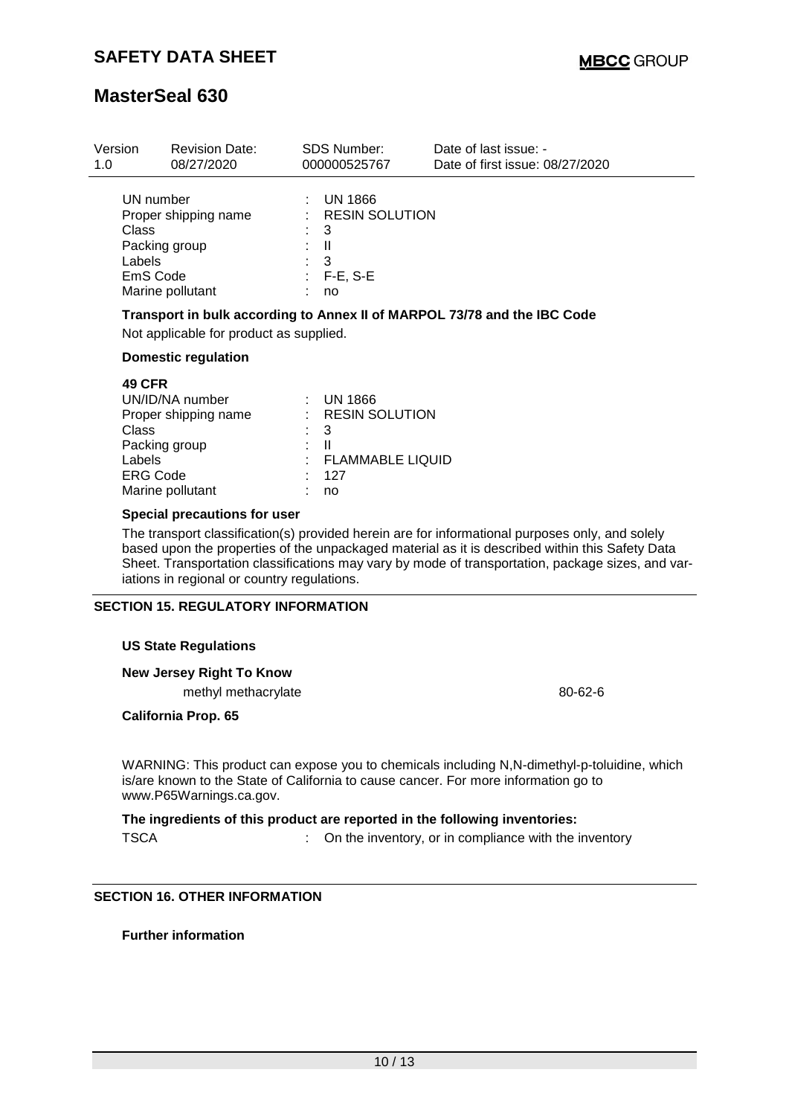| Version<br>1.0                   | <b>Revision Date:</b><br>08/27/2020                                                                                           | SDS Number:<br>000000525767                                                                     | Date of last issue: -<br>Date of first issue: 08/27/2020                 |
|----------------------------------|-------------------------------------------------------------------------------------------------------------------------------|-------------------------------------------------------------------------------------------------|--------------------------------------------------------------------------|
| Class<br>Labels                  | UN number<br>Proper shipping name<br>Packing group<br>EmS Code<br>Marine pollutant<br>Not applicable for product as supplied. | $:$ UN 1866<br>: RESIN SOLUTION<br>3<br>: II<br>3<br>$: F-E, S-E$<br>no                         | Transport in bulk according to Annex II of MARPOL 73/78 and the IBC Code |
|                                  | <b>Domestic regulation</b>                                                                                                    |                                                                                                 |                                                                          |
| <b>49 CFR</b><br>Class<br>Labels | UN/ID/NA number<br>Proper shipping name<br>Packing group<br><b>ERG Code</b>                                                   | $\therefore$ UN 1866<br>: RESIN SOLUTION<br>3<br>$\mathbf{H}$<br><b>FLAMMABLE LIQUID</b><br>127 |                                                                          |

### **Special precautions for user**

Marine pollutant : no

The transport classification(s) provided herein are for informational purposes only, and solely based upon the properties of the unpackaged material as it is described within this Safety Data Sheet. Transportation classifications may vary by mode of transportation, package sizes, and variations in regional or country regulations.

#### **SECTION 15. REGULATORY INFORMATION**

#### **US State Regulations**

**New Jersey Right To Know**

methyl methacrylate 80-62-6

**California Prop. 65**

WARNING: This product can expose you to chemicals including N,N-dimethyl-p-toluidine, which is/are known to the State of California to cause cancer. For more information go to www.P65Warnings.ca.gov.

## **The ingredients of this product are reported in the following inventories:** TSCA : On the inventory, or in compliance with the inventory

### **SECTION 16. OTHER INFORMATION**

## **Further information**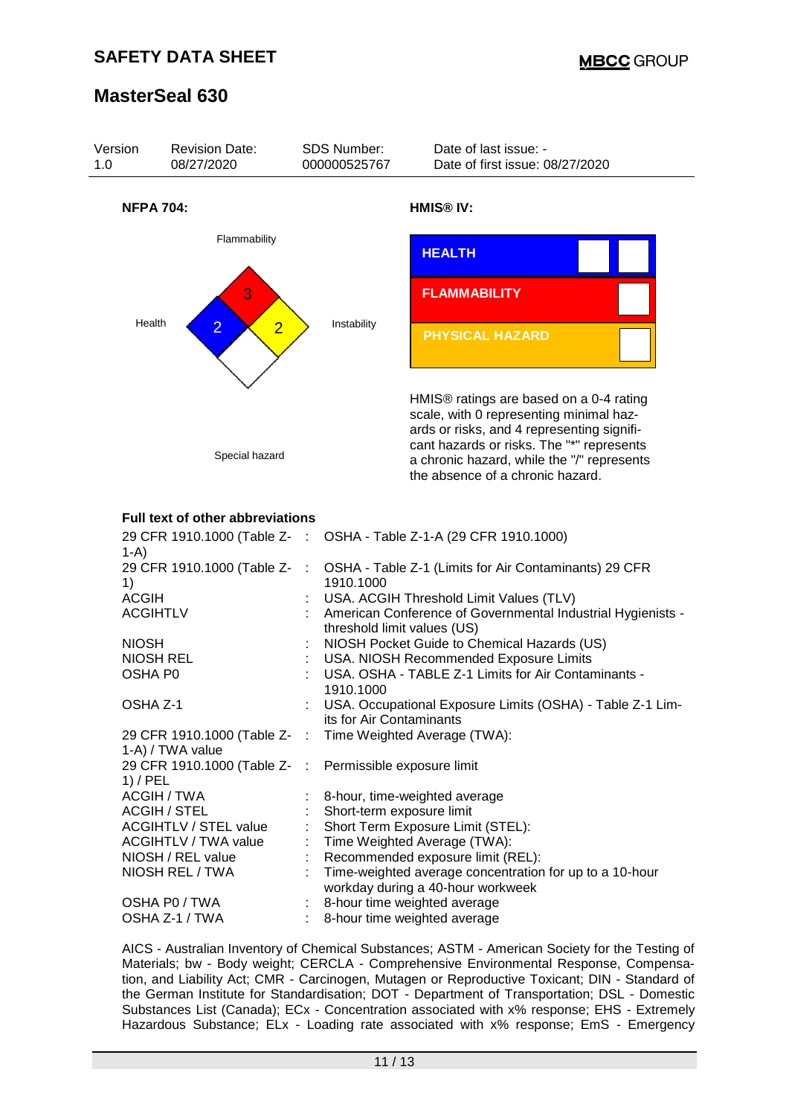

AICS - Australian Inventory of Chemical Substances; ASTM - American Society for the Testing of Materials; bw - Body weight; CERCLA - Comprehensive Environmental Response, Compensation, and Liability Act; CMR - Carcinogen, Mutagen or Reproductive Toxicant; DIN - Standard of the German Institute for Standardisation; DOT - Department of Transportation; DSL - Domestic Substances List (Canada); ECx - Concentration associated with x% response; EHS - Extremely Hazardous Substance; ELx - Loading rate associated with x% response; EmS - Emergency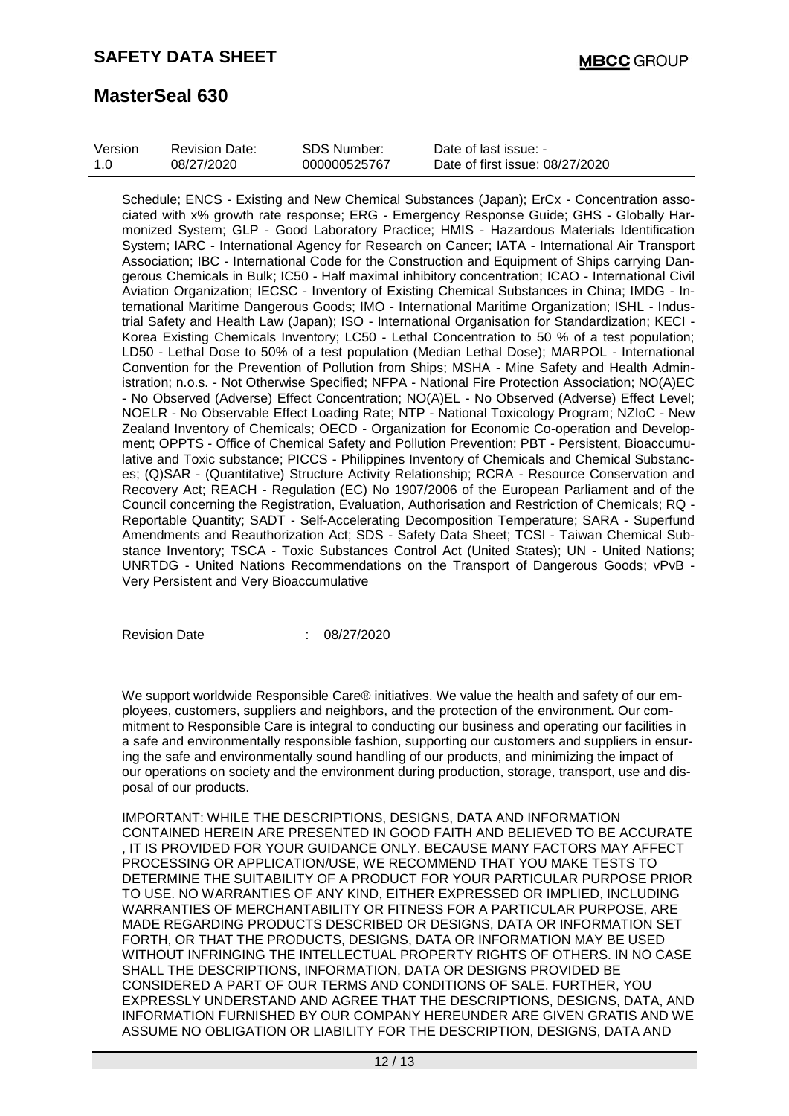| Version | <b>Revision Date:</b> | SDS Number:  | Date of last issue: -           |
|---------|-----------------------|--------------|---------------------------------|
| 1.0     | 08/27/2020            | 000000525767 | Date of first issue: 08/27/2020 |

Schedule; ENCS - Existing and New Chemical Substances (Japan); ErCx - Concentration associated with x% growth rate response; ERG - Emergency Response Guide; GHS - Globally Harmonized System; GLP - Good Laboratory Practice; HMIS - Hazardous Materials Identification System; IARC - International Agency for Research on Cancer; IATA - International Air Transport Association; IBC - International Code for the Construction and Equipment of Ships carrying Dangerous Chemicals in Bulk; IC50 - Half maximal inhibitory concentration; ICAO - International Civil Aviation Organization; IECSC - Inventory of Existing Chemical Substances in China; IMDG - International Maritime Dangerous Goods; IMO - International Maritime Organization; ISHL - Industrial Safety and Health Law (Japan); ISO - International Organisation for Standardization; KECI - Korea Existing Chemicals Inventory; LC50 - Lethal Concentration to 50 % of a test population; LD50 - Lethal Dose to 50% of a test population (Median Lethal Dose); MARPOL - International Convention for the Prevention of Pollution from Ships; MSHA - Mine Safety and Health Administration; n.o.s. - Not Otherwise Specified; NFPA - National Fire Protection Association; NO(A)EC - No Observed (Adverse) Effect Concentration; NO(A)EL - No Observed (Adverse) Effect Level; NOELR - No Observable Effect Loading Rate; NTP - National Toxicology Program; NZIoC - New Zealand Inventory of Chemicals; OECD - Organization for Economic Co-operation and Development; OPPTS - Office of Chemical Safety and Pollution Prevention; PBT - Persistent, Bioaccumulative and Toxic substance; PICCS - Philippines Inventory of Chemicals and Chemical Substances; (Q)SAR - (Quantitative) Structure Activity Relationship; RCRA - Resource Conservation and Recovery Act; REACH - Regulation (EC) No 1907/2006 of the European Parliament and of the Council concerning the Registration, Evaluation, Authorisation and Restriction of Chemicals; RQ - Reportable Quantity; SADT - Self-Accelerating Decomposition Temperature; SARA - Superfund Amendments and Reauthorization Act; SDS - Safety Data Sheet; TCSI - Taiwan Chemical Substance Inventory; TSCA - Toxic Substances Control Act (United States); UN - United Nations; UNRTDG - United Nations Recommendations on the Transport of Dangerous Goods; vPvB - Very Persistent and Very Bioaccumulative

Revision Date : 08/27/2020

We support worldwide Responsible Care® initiatives. We value the health and safety of our employees, customers, suppliers and neighbors, and the protection of the environment. Our commitment to Responsible Care is integral to conducting our business and operating our facilities in a safe and environmentally responsible fashion, supporting our customers and suppliers in ensuring the safe and environmentally sound handling of our products, and minimizing the impact of our operations on society and the environment during production, storage, transport, use and disposal of our products.

IMPORTANT: WHILE THE DESCRIPTIONS, DESIGNS, DATA AND INFORMATION CONTAINED HEREIN ARE PRESENTED IN GOOD FAITH AND BELIEVED TO BE ACCURATE , IT IS PROVIDED FOR YOUR GUIDANCE ONLY. BECAUSE MANY FACTORS MAY AFFECT PROCESSING OR APPLICATION/USE, WE RECOMMEND THAT YOU MAKE TESTS TO DETERMINE THE SUITABILITY OF A PRODUCT FOR YOUR PARTICULAR PURPOSE PRIOR TO USE. NO WARRANTIES OF ANY KIND, EITHER EXPRESSED OR IMPLIED, INCLUDING WARRANTIES OF MERCHANTABILITY OR FITNESS FOR A PARTICULAR PURPOSE, ARE MADE REGARDING PRODUCTS DESCRIBED OR DESIGNS, DATA OR INFORMATION SET FORTH, OR THAT THE PRODUCTS, DESIGNS, DATA OR INFORMATION MAY BE USED WITHOUT INFRINGING THE INTELLECTUAL PROPERTY RIGHTS OF OTHERS. IN NO CASE SHALL THE DESCRIPTIONS, INFORMATION, DATA OR DESIGNS PROVIDED BE CONSIDERED A PART OF OUR TERMS AND CONDITIONS OF SALE. FURTHER, YOU EXPRESSLY UNDERSTAND AND AGREE THAT THE DESCRIPTIONS, DESIGNS, DATA, AND INFORMATION FURNISHED BY OUR COMPANY HEREUNDER ARE GIVEN GRATIS AND WE ASSUME NO OBLIGATION OR LIABILITY FOR THE DESCRIPTION, DESIGNS, DATA AND